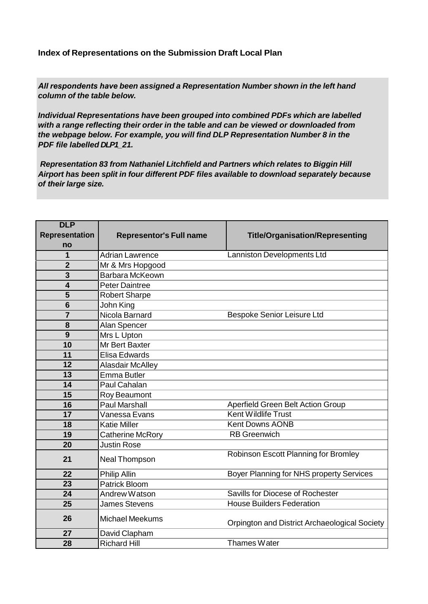**Index of Representations on the Submission Draft Local Plan**

*All respondents have been assigned a Representation Number shown in the left hand column of the table below.*

*Individual Representations have been grouped into combined PDFs which are labelled with a range reflecting their order in the table and can be viewed or downloaded from the webpage below. For example, you will find DLP Representation Number 8 in the PDF file labelled DLP1\_21.*

*Representation 83 from Nathaniel Litchfield and Partners which relates to Biggin Hill Airport has been split in four different PDF files available to download separately because of their large size.*

| <b>DLP</b>            |                                |                                               |
|-----------------------|--------------------------------|-----------------------------------------------|
| <b>Representation</b> | <b>Representor's Full name</b> | <b>Title/Organisation/Representing</b>        |
| no                    |                                |                                               |
| 1                     | <b>Adrian Lawrence</b>         | Lanniston Developments Ltd                    |
| $\overline{2}$        | Mr & Mrs Hopgood               |                                               |
| 3                     | Barbara McKeown                |                                               |
| 4                     | <b>Peter Daintree</b>          |                                               |
| 5                     | <b>Robert Sharpe</b>           |                                               |
| $6\phantom{1}6$       | John King                      |                                               |
| $\overline{7}$        | Nicola Barnard                 | Bespoke Senior Leisure Ltd                    |
| 8                     | Alan Spencer                   |                                               |
| 9                     | Mrs L Upton                    |                                               |
| 10                    | Mr Bert Baxter                 |                                               |
| 11                    | Elisa Edwards                  |                                               |
| 12                    | <b>Alasdair McAlley</b>        |                                               |
| 13                    | Emma Butler                    |                                               |
| 14                    | Paul Cahalan                   |                                               |
| 15                    | Roy Beaumont                   |                                               |
| 16                    | <b>Paul Marshall</b>           | <b>Aperfield Green Belt Action Group</b>      |
| $\overline{17}$       | Vanessa Evans                  | <b>Kent Wildlife Trust</b>                    |
| 18                    | <b>Katie Miller</b>            | <b>Kent Downs AONB</b>                        |
| 19                    | Catherine McRory               | <b>RB</b> Greenwich                           |
| 20                    | <b>Justin Rose</b>             |                                               |
| 21                    | <b>Neal Thompson</b>           | Robinson Escott Planning for Bromley          |
| 22                    | <b>Philip Allin</b>            | Boyer Planning for NHS property Services      |
| 23                    | <b>Patrick Bloom</b>           |                                               |
| 24                    | Andrew Watson                  | Savills for Diocese of Rochester              |
| 25                    | James Stevens                  | <b>House Builders Federation</b>              |
| 26                    | <b>Michael Meekums</b>         | Orpington and District Archaeological Society |
| 27                    | David Clapham                  |                                               |
| 28                    | <b>Richard Hill</b>            | Thames Water                                  |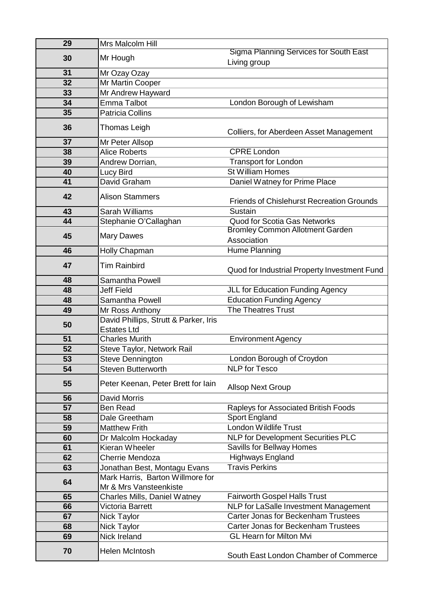| 29 | Mrs Malcolm Hill                                            |                                                               |
|----|-------------------------------------------------------------|---------------------------------------------------------------|
| 30 | Mr Hough                                                    | <b>Sigma Planning Services for South East</b><br>Living group |
| 31 | Mr Ozay Ozay                                                |                                                               |
| 32 | Mr Martin Cooper                                            |                                                               |
| 33 | Mr Andrew Hayward                                           |                                                               |
| 34 | <b>Emma Talbot</b>                                          | London Borough of Lewisham                                    |
| 35 | <b>Patricia Collins</b>                                     |                                                               |
| 36 | Thomas Leigh                                                | Colliers, for Aberdeen Asset Management                       |
| 37 | Mr Peter Allsop                                             |                                                               |
| 38 | <b>Alice Roberts</b>                                        | <b>CPRE London</b>                                            |
| 39 | Andrew Dorrian,                                             | <b>Transport for London</b>                                   |
| 40 | Lucy Bird                                                   | <b>St William Homes</b>                                       |
| 41 | David Graham                                                | Daniel Watney for Prime Place                                 |
| 42 | <b>Alison Stammers</b>                                      | <b>Friends of Chislehurst Recreation Grounds</b>              |
| 43 | Sarah Williams                                              | Sustain                                                       |
| 44 | Stephanie O'Callaghan                                       | <b>Quod for Scotia Gas Networks</b>                           |
| 45 | <b>Mary Dawes</b>                                           | <b>Bromley Common Allotment Garden</b><br>Association         |
| 46 | <b>Holly Chapman</b>                                        | Hume Planning                                                 |
| 47 | <b>Tim Rainbird</b>                                         | Quod for Industrial Property Investment Fund                  |
| 48 | Samantha Powell                                             |                                                               |
| 48 | <b>Jeff Field</b>                                           | JLL for Education Funding Agency                              |
| 48 | Samantha Powell                                             | <b>Education Funding Agency</b>                               |
| 49 | Mr Ross Anthony                                             | <b>The Theatres Trust</b>                                     |
| 50 | David Phillips, Strutt & Parker, Iris<br><b>Estates Ltd</b> |                                                               |
| 51 | <b>Charles Murith</b>                                       | <b>Environment Agency</b>                                     |
| 52 | Steve Taylor, Network Rail                                  |                                                               |
| 53 | Steve Dennington                                            | London Borough of Croydon                                     |
| 54 | <b>Steven Butterworth</b>                                   | <b>NLP</b> for Tesco                                          |
| 55 | Peter Keenan, Peter Brett for lain                          | <b>Allsop Next Group</b>                                      |
| 56 | <b>David Morris</b>                                         |                                                               |
| 57 | <b>Ben Read</b>                                             | Rapleys for Associated British Foods                          |
| 58 | Dale Greetham                                               | Sport England                                                 |
| 59 | <b>Matthew Frith</b>                                        | <b>London Wildlife Trust</b>                                  |
| 60 | Dr Malcolm Hockaday                                         | <b>NLP for Development Securities PLC</b>                     |
| 61 | Kieran Wheeler                                              | <b>Savills for Bellway Homes</b>                              |
| 62 | <b>Cherrie Mendoza</b>                                      | <b>Highways England</b>                                       |
| 63 | Jonathan Best, Montagu Evans                                | <b>Travis Perkins</b>                                         |
| 64 | Mark Harris, Barton Willmore for<br>Mr & Mrs Vansteenkiste  |                                                               |
| 65 | Charles Mills, Daniel Watney                                | <b>Fairworth Gospel Halls Trust</b>                           |
| 66 | Victoria Barrett                                            | NLP for LaSalle Investment Management                         |
| 67 | Nick Taylor                                                 | <b>Carter Jonas for Beckenham Trustees</b>                    |
| 68 | Nick Taylor                                                 | <b>Carter Jonas for Beckenham Trustees</b>                    |
| 69 | Nick Ireland                                                | <b>GL Hearn for Milton Mvi</b>                                |
| 70 | <b>Helen McIntosh</b>                                       | South East London Chamber of Commerce                         |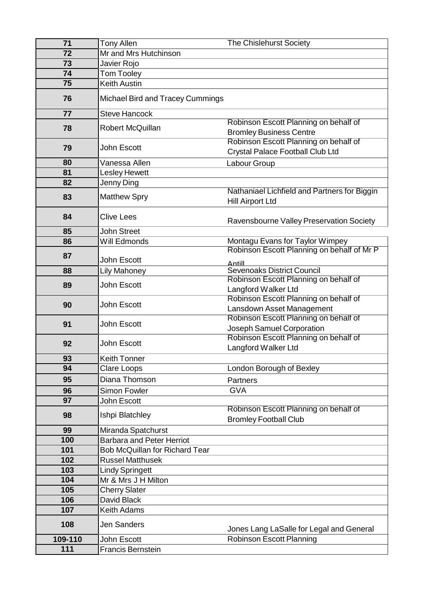| 71      | <b>Tony Allen</b>                     | <b>The Chislehurst Society</b>                                     |
|---------|---------------------------------------|--------------------------------------------------------------------|
| 72      | Mr and Mrs Hutchinson                 |                                                                    |
| 73      | Javier Rojo                           |                                                                    |
| 74      | Tom Tooley                            |                                                                    |
| 75      | <b>Keith Austin</b>                   |                                                                    |
| 76      | Michael Bird and Tracey Cummings      |                                                                    |
|         |                                       |                                                                    |
| 77      | <b>Steve Hancock</b>                  | Robinson Escott Planning on behalf of                              |
| 78      | Robert McQuillan                      | <b>Bromley Business Centre</b>                                     |
|         |                                       | Robinson Escott Planning on behalf of                              |
| 79      | John Escott                           | Crystal Palace Football Club Ltd                                   |
| 80      | Vanessa Allen                         | Labour Group                                                       |
| 81      | <b>Lesley Hewett</b>                  |                                                                    |
| 82      | Jenny Ding                            |                                                                    |
|         |                                       | Nathaniael Lichfield and Partners for Biggin                       |
| 83      | <b>Matthew Spry</b>                   | <b>Hill Airport Ltd</b>                                            |
| 84      | <b>Clive Lees</b>                     |                                                                    |
|         |                                       | Ravensbourne Valley Preservation Society                           |
| 85      | <b>John Street</b>                    |                                                                    |
| 86      | Will Edmonds                          | Montagu Evans for Taylor Wimpey                                    |
| 87      |                                       | Robinson Escott Planning on behalf of Mr P                         |
|         | John Escott                           | Antill                                                             |
| 88      | <b>Lily Mahoney</b>                   | <b>Sevenoaks District Council</b>                                  |
| 89      | John Escott                           | Robinson Escott Planning on behalf of                              |
|         |                                       | Langford Walker Ltd                                                |
| 90      | John Escott<br>John Escott            | Robinson Escott Planning on behalf of                              |
|         |                                       | Lansdown Asset Management<br>Robinson Escott Planning on behalf of |
| 91      |                                       | Joseph Samuel Corporation                                          |
|         |                                       | Robinson Escott Planning on behalf of                              |
| 92      | John Escott                           | Langford Walker Ltd                                                |
| 93      | <b>Keith Tonner</b>                   |                                                                    |
| 94      | <b>Clare Loops</b>                    | London Borough of Bexley                                           |
| 95      | Diana Thomson                         |                                                                    |
|         |                                       | <b>Partners</b>                                                    |
| 96      | Simon Fowler                          | <b>GVA</b>                                                         |
| 97      | John Escott                           | Robinson Escott Planning on behalf of                              |
| 98      | Ishpi Blatchley                       | <b>Bromley Football Club</b>                                       |
| 99      | Miranda Spatchurst                    |                                                                    |
| 100     | <b>Barbara and Peter Herriot</b>      |                                                                    |
| 101     | <b>Bob McQuillan for Richard Tear</b> |                                                                    |
| 102     | <b>Russel Matthusek</b>               |                                                                    |
| 103     | <b>Lindy Springett</b>                |                                                                    |
| 104     | Mr & Mrs J H Milton                   |                                                                    |
| 105     | <b>Cherry Slater</b>                  |                                                                    |
| 106     | David Black                           |                                                                    |
| 107     | <b>Keith Adams</b>                    |                                                                    |
| 108     | <b>Jen Sanders</b>                    | Jones Lang LaSalle for Legal and General                           |
| 109-110 | John Escott                           | Robinson Escott Planning                                           |
| 111     | <b>Francis Bernstein</b>              |                                                                    |
|         |                                       |                                                                    |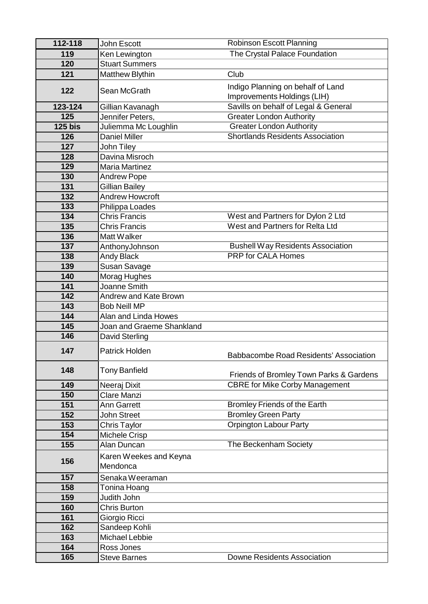| 112-118        | John Escott                        | <b>Robinson Escott Planning</b>                                  |
|----------------|------------------------------------|------------------------------------------------------------------|
| 119            | Ken Lewington                      | The Crystal Palace Foundation                                    |
| 120            | <b>Stuart Summers</b>              |                                                                  |
| 121            | <b>Matthew Blythin</b>             | Club                                                             |
| 122            | Sean McGrath                       | Indigo Planning on behalf of Land<br>Improvements Holdings (LIH) |
| 123-124        | Gillian Kavanagh                   | Savills on behalf of Legal & General                             |
| 125            | Jennifer Peters,                   | <b>Greater London Authority</b>                                  |
| <b>125 bis</b> | Juliemma Mc Loughlin               | <b>Greater London Authority</b>                                  |
| 126            | Daniel Miller                      | <b>Shortlands Residents Association</b>                          |
| 127            | John Tiley                         |                                                                  |
| 128            | Davina Misroch                     |                                                                  |
| 129            | <b>Maria Martinez</b>              |                                                                  |
| 130            | <b>Andrew Pope</b>                 |                                                                  |
| 131            | Gillian Bailey                     |                                                                  |
| 132            | Andrew Howcroft                    |                                                                  |
| 133            | Philippa Loades                    |                                                                  |
| 134            | <b>Chris Francis</b>               | West and Partners for Dylon 2 Ltd                                |
| 135            | <b>Chris Francis</b>               | <b>West and Partners for Relta Ltd</b>                           |
| 136            | Matt Walker                        |                                                                  |
| 137            | AnthonyJohnson                     | <b>Bushell Way Residents Association</b>                         |
| 138            | <b>Andy Black</b>                  | <b>PRP for CALA Homes</b>                                        |
| 139            | Susan Savage                       |                                                                  |
| 140            | Morag Hughes                       |                                                                  |
| 141            | Joanne Smith                       |                                                                  |
| 142            | Andrew and Kate Brown              |                                                                  |
| 143            | <b>Bob Neill MP</b>                |                                                                  |
| 144            | Alan and Linda Howes               |                                                                  |
| 145            | Joan and Graeme Shankland          |                                                                  |
| 146            | <b>David Sterling</b>              |                                                                  |
| 147            | Patrick Holden                     | Babbacombe Road Residents' Association                           |
| 148            | <b>Tony Banfield</b>               | Friends of Bromley Town Parks & Gardens                          |
| 149            | Neeraj Dixit                       | <b>CBRE for Mike Corby Management</b>                            |
| 150            | Clare Manzi                        |                                                                  |
| 151            | <b>Ann Garrett</b>                 | Bromley Friends of the Earth                                     |
| 152            | John Street                        | <b>Bromley Green Party</b>                                       |
| 153            | Chris Taylor                       | <b>Orpington Labour Party</b>                                    |
| 154            | Michele Crisp                      |                                                                  |
| 155            | Alan Duncan                        | The Beckenham Society                                            |
| 156            | Karen Weekes and Keyna<br>Mendonca |                                                                  |
| 157            | Senaka Weeraman                    |                                                                  |
| 158            | Tonina Hoang                       |                                                                  |
| 159            | Judith John                        |                                                                  |
| 160            | <b>Chris Burton</b>                |                                                                  |
| 161            | Giorgio Ricci                      |                                                                  |
| 162            | Sandeep Kohli                      |                                                                  |
| 163            | <b>Michael Lebbie</b>              |                                                                  |
| 164            | Ross Jones                         |                                                                  |
| 165            | <b>Steve Barnes</b>                | <b>Downe Residents Association</b>                               |